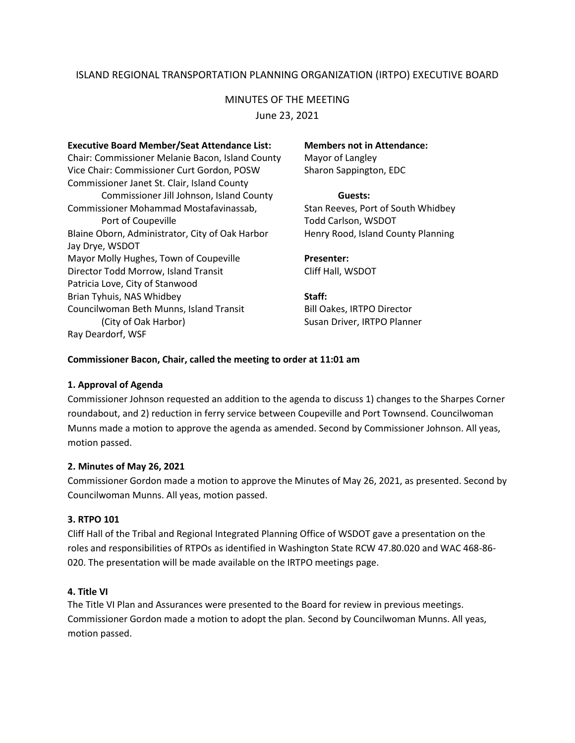## ISLAND REGIONAL TRANSPORTATION PLANNING ORGANIZATION (IRTPO) EXECUTIVE BOARD

# MINUTES OF THE MEETING

June 23, 2021

**Executive Board Member/Seat Attendance List: Members not in Attendance:** Chair: Commissioner Melanie Bacon, Island County Mayor of Langley Vice Chair: Commissioner Curt Gordon, POSW Sharon Sappington, EDC Commissioner Janet St. Clair, Island County Commissioner Jill Johnson, Island County **Guests:** Commissioner Mohammad Mostafavinassab, Stan Reeves, Port of South Whidbey Port of Coupeville Todd Carlson, WSDOT Blaine Oborn, Administrator, City of Oak Harbor Henry Rood, Island County Planning Jay Drye, WSDOT Mayor Molly Hughes, Town of Coupeville **Presenter:** Director Todd Morrow, Island Transit Cliff Hall, WSDOT Patricia Love, City of Stanwood Brian Tyhuis, NAS Whidbey **Staff:** Councilwoman Beth Munns, Island Transit Bill Oakes, IRTPO Director (City of Oak Harbor) Susan Driver, IRTPO Planner Ray Deardorf, WSF

## **Commissioner Bacon, Chair, called the meeting to order at 11:01 am**

## **1. Approval of Agenda**

Commissioner Johnson requested an addition to the agenda to discuss 1) changes to the Sharpes Corner roundabout, and 2) reduction in ferry service between Coupeville and Port Townsend. Councilwoman Munns made a motion to approve the agenda as amended. Second by Commissioner Johnson. All yeas, motion passed.

## **2. Minutes of May 26, 2021**

Commissioner Gordon made a motion to approve the Minutes of May 26, 2021, as presented. Second by Councilwoman Munns. All yeas, motion passed.

#### **3. RTPO 101**

Cliff Hall of the Tribal and Regional Integrated Planning Office of WSDOT gave a presentation on the roles and responsibilities of RTPOs as identified in Washington State RCW 47.80.020 and WAC 468-86- 020. The presentation will be made available on the IRTPO meetings page.

#### **4. Title VI**

The Title VI Plan and Assurances were presented to the Board for review in previous meetings. Commissioner Gordon made a motion to adopt the plan. Second by Councilwoman Munns. All yeas, motion passed.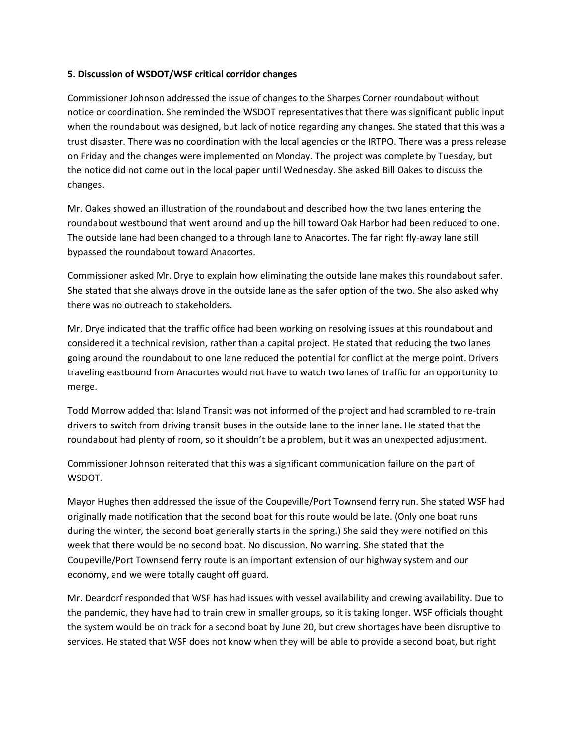## **5. Discussion of WSDOT/WSF critical corridor changes**

Commissioner Johnson addressed the issue of changes to the Sharpes Corner roundabout without notice or coordination. She reminded the WSDOT representatives that there was significant public input when the roundabout was designed, but lack of notice regarding any changes. She stated that this was a trust disaster. There was no coordination with the local agencies or the IRTPO. There was a press release on Friday and the changes were implemented on Monday. The project was complete by Tuesday, but the notice did not come out in the local paper until Wednesday. She asked Bill Oakes to discuss the changes.

Mr. Oakes showed an illustration of the roundabout and described how the two lanes entering the roundabout westbound that went around and up the hill toward Oak Harbor had been reduced to one. The outside lane had been changed to a through lane to Anacortes. The far right fly-away lane still bypassed the roundabout toward Anacortes.

Commissioner asked Mr. Drye to explain how eliminating the outside lane makes this roundabout safer. She stated that she always drove in the outside lane as the safer option of the two. She also asked why there was no outreach to stakeholders.

Mr. Drye indicated that the traffic office had been working on resolving issues at this roundabout and considered it a technical revision, rather than a capital project. He stated that reducing the two lanes going around the roundabout to one lane reduced the potential for conflict at the merge point. Drivers traveling eastbound from Anacortes would not have to watch two lanes of traffic for an opportunity to merge.

Todd Morrow added that Island Transit was not informed of the project and had scrambled to re-train drivers to switch from driving transit buses in the outside lane to the inner lane. He stated that the roundabout had plenty of room, so it shouldn't be a problem, but it was an unexpected adjustment.

Commissioner Johnson reiterated that this was a significant communication failure on the part of WSDOT.

Mayor Hughes then addressed the issue of the Coupeville/Port Townsend ferry run. She stated WSF had originally made notification that the second boat for this route would be late. (Only one boat runs during the winter, the second boat generally starts in the spring.) She said they were notified on this week that there would be no second boat. No discussion. No warning. She stated that the Coupeville/Port Townsend ferry route is an important extension of our highway system and our economy, and we were totally caught off guard.

Mr. Deardorf responded that WSF has had issues with vessel availability and crewing availability. Due to the pandemic, they have had to train crew in smaller groups, so it is taking longer. WSF officials thought the system would be on track for a second boat by June 20, but crew shortages have been disruptive to services. He stated that WSF does not know when they will be able to provide a second boat, but right